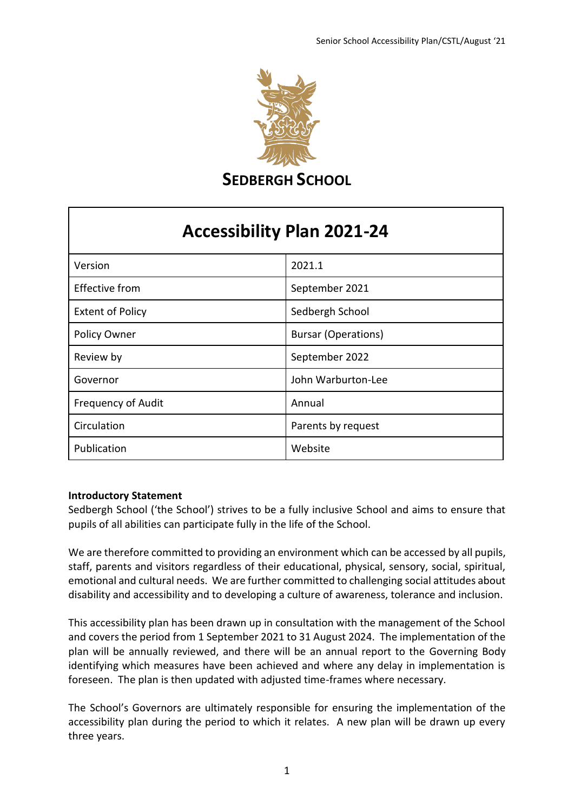

**SEDBERGH SCHOOL** 

# **Accessibility Plan 2021-24**

| Version                   | 2021.1                     |
|---------------------------|----------------------------|
| <b>Effective from</b>     | September 2021             |
| <b>Extent of Policy</b>   | Sedbergh School            |
| Policy Owner              | <b>Bursar (Operations)</b> |
| Review by                 | September 2022             |
| Governor                  | John Warburton-Lee         |
| <b>Frequency of Audit</b> | Annual                     |
| Circulation               | Parents by request         |
| Publication               | Website                    |

## **Introductory Statement**

Sedbergh School ('the School') strives to be a fully inclusive School and aims to ensure that pupils of all abilities can participate fully in the life of the School.

We are therefore committed to providing an environment which can be accessed by all pupils, staff, parents and visitors regardless of their educational, physical, sensory, social, spiritual, emotional and cultural needs. We are further committed to challenging social attitudes about disability and accessibility and to developing a culture of awareness, tolerance and inclusion.

This accessibility plan has been drawn up in consultation with the management of the School and covers the period from 1 September 2021 to 31 August 2024. The implementation of the plan will be annually reviewed, and there will be an annual report to the Governing Body identifying which measures have been achieved and where any delay in implementation is foreseen. The plan is then updated with adjusted time-frames where necessary.

The School's Governors are ultimately responsible for ensuring the implementation of the accessibility plan during the period to which it relates. A new plan will be drawn up every three years.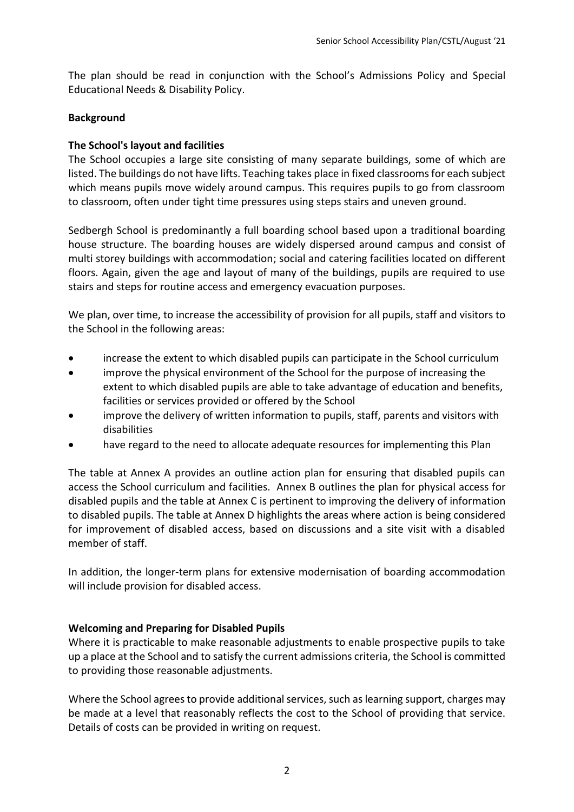The plan should be read in conjunction with the School's Admissions Policy and Special Educational Needs & Disability Policy.

# **Background**

# **The School's layout and facilities**

The School occupies a large site consisting of many separate buildings, some of which are listed. The buildings do not have lifts. Teaching takes place in fixed classrooms for each subject which means pupils move widely around campus. This requires pupils to go from classroom to classroom, often under tight time pressures using steps stairs and uneven ground.

Sedbergh School is predominantly a full boarding school based upon a traditional boarding house structure. The boarding houses are widely dispersed around campus and consist of multi storey buildings with accommodation; social and catering facilities located on different floors. Again, given the age and layout of many of the buildings, pupils are required to use stairs and steps for routine access and emergency evacuation purposes.

We plan, over time, to increase the accessibility of provision for all pupils, staff and visitors to the School in the following areas:

- increase the extent to which disabled pupils can participate in the School curriculum
- improve the physical environment of the School for the purpose of increasing the extent to which disabled pupils are able to take advantage of education and benefits, facilities or services provided or offered by the School
- improve the delivery of written information to pupils, staff, parents and visitors with disabilities
- have regard to the need to allocate adequate resources for implementing this Plan

The table at Annex A provides an outline action plan for ensuring that disabled pupils can access the School curriculum and facilities. Annex B outlines the plan for physical access for disabled pupils and the table at Annex C is pertinent to improving the delivery of information to disabled pupils. The table at Annex D highlights the areas where action is being considered for improvement of disabled access, based on discussions and a site visit with a disabled member of staff.

In addition, the longer-term plans for extensive modernisation of boarding accommodation will include provision for disabled access.

## **Welcoming and Preparing for Disabled Pupils**

Where it is practicable to make reasonable adjustments to enable prospective pupils to take up a place at the School and to satisfy the current admissions criteria, the School is committed to providing those reasonable adjustments.

Where the School agrees to provide additional services, such as learning support, charges may be made at a level that reasonably reflects the cost to the School of providing that service. Details of costs can be provided in writing on request.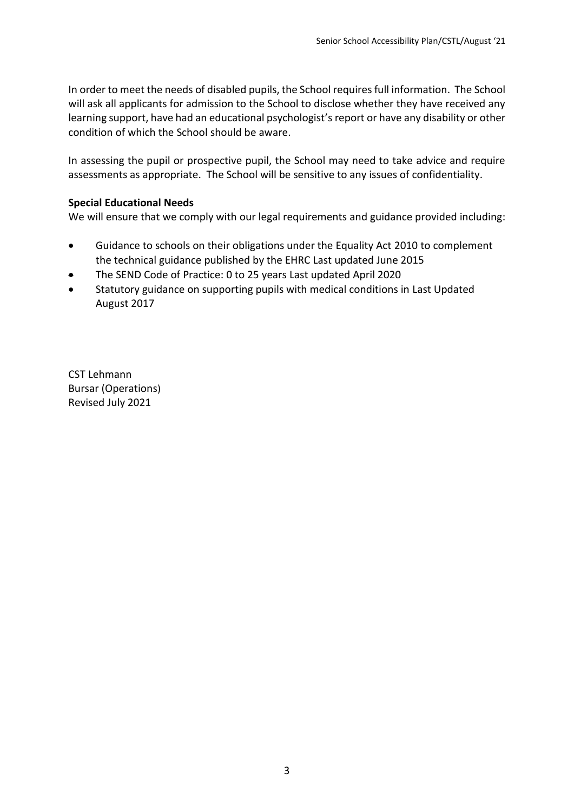In order to meet the needs of disabled pupils, the School requires full information. The School will ask all applicants for admission to the School to disclose whether they have received any learning support, have had an educational psychologist's report or have any disability or other condition of which the School should be aware.

In assessing the pupil or prospective pupil, the School may need to take advice and require assessments as appropriate. The School will be sensitive to any issues of confidentiality.

## **Special Educational Needs**

We will ensure that we comply with our legal requirements and guidance provided including:

- Guidance to schools on their obligations under the Equality Act 2010 to complement the technical guidance published by the EHRC Last updated June 2015
- The SEND Code of Practice: 0 to 25 years Last updated April 2020
- Statutory guidance on supporting pupils with medical conditions in Last Updated August 2017

CST Lehmann Bursar (Operations) Revised July 2021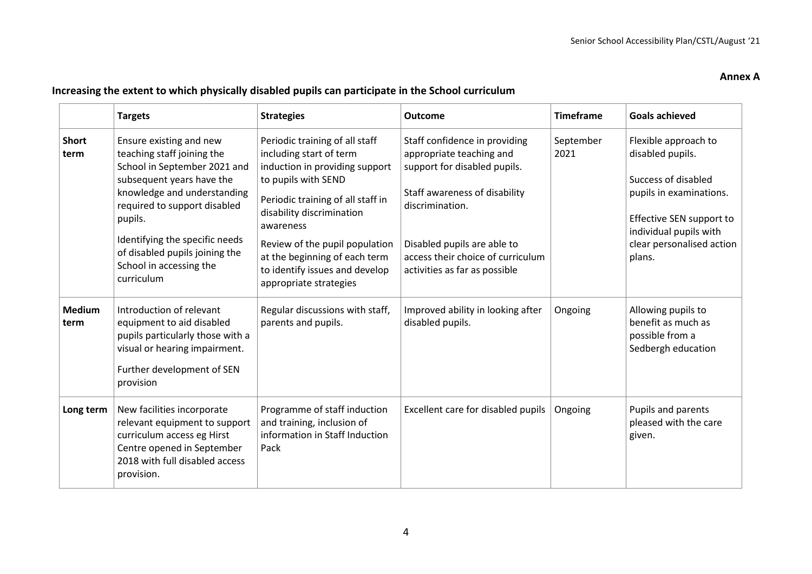#### **Annex A**

# **Increasing the extent to which physically disabled pupils can participate in the School curriculum**

|                       | <b>Targets</b>                                                                                                                                                                                                                                                                                            | <b>Strategies</b>                                                                                                                                                                                                                                                                                                                | <b>Outcome</b>                                                                                                                                                                                                                                     | <b>Timeframe</b>  | <b>Goals achieved</b>                                                                                                                                                                   |
|-----------------------|-----------------------------------------------------------------------------------------------------------------------------------------------------------------------------------------------------------------------------------------------------------------------------------------------------------|----------------------------------------------------------------------------------------------------------------------------------------------------------------------------------------------------------------------------------------------------------------------------------------------------------------------------------|----------------------------------------------------------------------------------------------------------------------------------------------------------------------------------------------------------------------------------------------------|-------------------|-----------------------------------------------------------------------------------------------------------------------------------------------------------------------------------------|
| <b>Short</b><br>term  | Ensure existing and new<br>teaching staff joining the<br>School in September 2021 and<br>subsequent years have the<br>knowledge and understanding<br>required to support disabled<br>pupils.<br>Identifying the specific needs<br>of disabled pupils joining the<br>School in accessing the<br>curriculum | Periodic training of all staff<br>including start of term<br>induction in providing support<br>to pupils with SEND<br>Periodic training of all staff in<br>disability discrimination<br>awareness<br>Review of the pupil population<br>at the beginning of each term<br>to identify issues and develop<br>appropriate strategies | Staff confidence in providing<br>appropriate teaching and<br>support for disabled pupils.<br>Staff awareness of disability<br>discrimination.<br>Disabled pupils are able to<br>access their choice of curriculum<br>activities as far as possible | September<br>2021 | Flexible approach to<br>disabled pupils.<br>Success of disabled<br>pupils in examinations.<br>Effective SEN support to<br>individual pupils with<br>clear personalised action<br>plans. |
| <b>Medium</b><br>term | Introduction of relevant<br>equipment to aid disabled<br>pupils particularly those with a<br>visual or hearing impairment.<br>Further development of SEN<br>provision                                                                                                                                     | Regular discussions with staff,<br>parents and pupils.                                                                                                                                                                                                                                                                           | Improved ability in looking after<br>disabled pupils.                                                                                                                                                                                              | Ongoing           | Allowing pupils to<br>benefit as much as<br>possible from a<br>Sedbergh education                                                                                                       |
| Long term             | New facilities incorporate<br>relevant equipment to support<br>curriculum access eg Hirst<br>Centre opened in September<br>2018 with full disabled access<br>provision.                                                                                                                                   | Programme of staff induction<br>and training, inclusion of<br>information in Staff Induction<br>Pack                                                                                                                                                                                                                             | Excellent care for disabled pupils                                                                                                                                                                                                                 | Ongoing           | Pupils and parents<br>pleased with the care<br>given.                                                                                                                                   |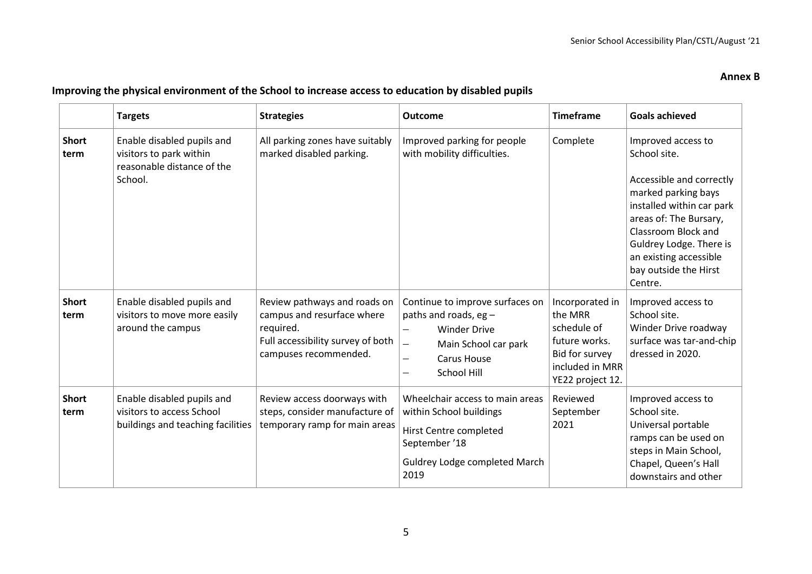#### **Annex B**

|                      | <b>Targets</b>                                                                                 | <b>Strategies</b>                                                                                                                     | <b>Outcome</b>                                                                                                                                                                                                   | <b>Timeframe</b>                                                                                                    | <b>Goals achieved</b>                                                                                                                                                                                                                                        |
|----------------------|------------------------------------------------------------------------------------------------|---------------------------------------------------------------------------------------------------------------------------------------|------------------------------------------------------------------------------------------------------------------------------------------------------------------------------------------------------------------|---------------------------------------------------------------------------------------------------------------------|--------------------------------------------------------------------------------------------------------------------------------------------------------------------------------------------------------------------------------------------------------------|
| <b>Short</b><br>term | Enable disabled pupils and<br>visitors to park within<br>reasonable distance of the<br>School. | All parking zones have suitably<br>marked disabled parking.                                                                           | Improved parking for people<br>with mobility difficulties.                                                                                                                                                       | Complete                                                                                                            | Improved access to<br>School site.<br>Accessible and correctly<br>marked parking bays<br>installed within car park<br>areas of: The Bursary,<br>Classroom Block and<br>Guldrey Lodge. There is<br>an existing accessible<br>bay outside the Hirst<br>Centre. |
| <b>Short</b><br>term | Enable disabled pupils and<br>visitors to move more easily<br>around the campus                | Review pathways and roads on<br>campus and resurface where<br>required.<br>Full accessibility survey of both<br>campuses recommended. | Continue to improve surfaces on<br>paths and roads, eg $-$<br><b>Winder Drive</b><br>$\qquad \qquad -$<br>$\overline{\phantom{0}}$<br>Main School car park<br><b>Carus House</b><br>—<br><b>School Hill</b><br>— | Incorporated in<br>the MRR<br>schedule of<br>future works.<br>Bid for survey<br>included in MRR<br>YE22 project 12. | Improved access to<br>School site.<br>Winder Drive roadway<br>surface was tar-and-chip<br>dressed in 2020.                                                                                                                                                   |
| <b>Short</b><br>term | Enable disabled pupils and<br>visitors to access School<br>buildings and teaching facilities   | Review access doorways with<br>steps, consider manufacture of<br>temporary ramp for main areas                                        | Wheelchair access to main areas<br>within School buildings<br>Hirst Centre completed<br>September '18<br>Guldrey Lodge completed March<br>2019                                                                   | Reviewed<br>September<br>2021                                                                                       | Improved access to<br>School site.<br>Universal portable<br>ramps can be used on<br>steps in Main School,<br>Chapel, Queen's Hall<br>downstairs and other                                                                                                    |

## **Improving the physical environment of the School to increase access to education by disabled pupils**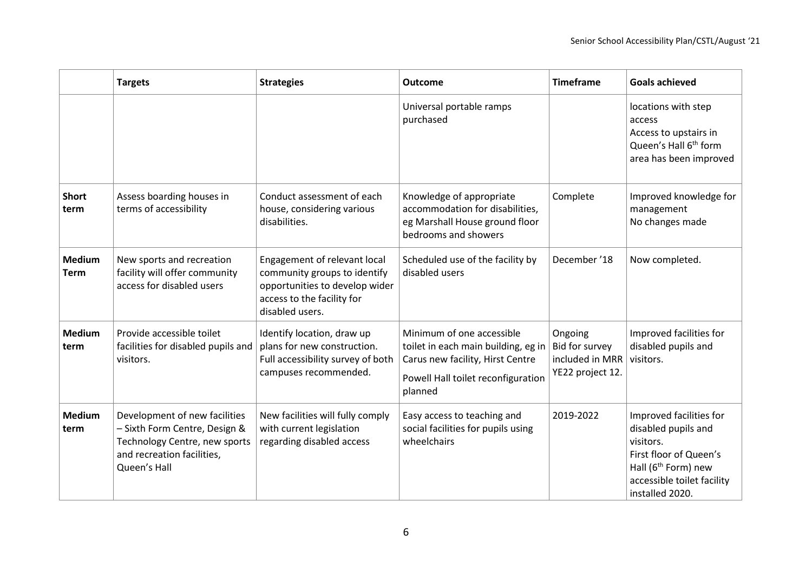|                              | <b>Targets</b>                                                                                                                                | <b>Strategies</b>                                                                                                                               | <b>Outcome</b>                                                                                                                                        | <b>Timeframe</b>                                                 | <b>Goals achieved</b>                                                                                                                                                     |
|------------------------------|-----------------------------------------------------------------------------------------------------------------------------------------------|-------------------------------------------------------------------------------------------------------------------------------------------------|-------------------------------------------------------------------------------------------------------------------------------------------------------|------------------------------------------------------------------|---------------------------------------------------------------------------------------------------------------------------------------------------------------------------|
|                              |                                                                                                                                               |                                                                                                                                                 | Universal portable ramps<br>purchased                                                                                                                 |                                                                  | locations with step<br>access<br>Access to upstairs in<br>Queen's Hall 6 <sup>th</sup> form<br>area has been improved                                                     |
| <b>Short</b><br>term         | Assess boarding houses in<br>terms of accessibility                                                                                           | Conduct assessment of each<br>house, considering various<br>disabilities.                                                                       | Knowledge of appropriate<br>accommodation for disabilities,<br>eg Marshall House ground floor<br>bedrooms and showers                                 | Complete                                                         | Improved knowledge for<br>management<br>No changes made                                                                                                                   |
| <b>Medium</b><br><b>Term</b> | New sports and recreation<br>facility will offer community<br>access for disabled users                                                       | Engagement of relevant local<br>community groups to identify<br>opportunities to develop wider<br>access to the facility for<br>disabled users. | Scheduled use of the facility by<br>disabled users                                                                                                    | December '18                                                     | Now completed.                                                                                                                                                            |
| <b>Medium</b><br>term        | Provide accessible toilet<br>facilities for disabled pupils and<br>visitors.                                                                  | Identify location, draw up<br>plans for new construction.<br>Full accessibility survey of both<br>campuses recommended.                         | Minimum of one accessible<br>toilet in each main building, eg in<br>Carus new facility, Hirst Centre<br>Powell Hall toilet reconfiguration<br>planned | Ongoing<br>Bid for survey<br>included in MRR<br>YE22 project 12. | Improved facilities for<br>disabled pupils and<br>visitors.                                                                                                               |
| <b>Medium</b><br>term        | Development of new facilities<br>- Sixth Form Centre, Design &<br>Technology Centre, new sports<br>and recreation facilities,<br>Queen's Hall | New facilities will fully comply<br>with current legislation<br>regarding disabled access                                                       | Easy access to teaching and<br>social facilities for pupils using<br>wheelchairs                                                                      | 2019-2022                                                        | Improved facilities for<br>disabled pupils and<br>visitors.<br>First floor of Queen's<br>Hall (6 <sup>th</sup> Form) new<br>accessible toilet facility<br>installed 2020. |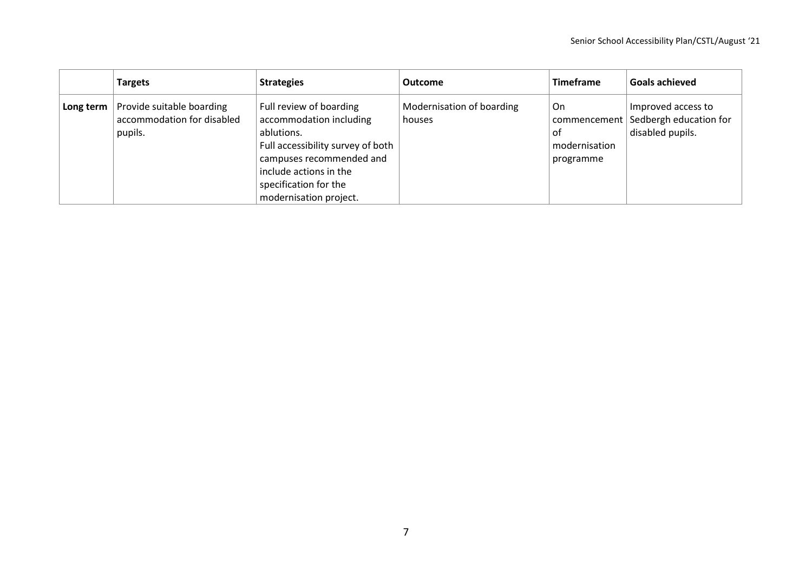|           | <b>Targets</b>                                                     | <b>Strategies</b>                                                                                                                                                                                              | <b>Outcome</b>                      | <b>Timeframe</b>                       | Goals achieved                                                                  |
|-----------|--------------------------------------------------------------------|----------------------------------------------------------------------------------------------------------------------------------------------------------------------------------------------------------------|-------------------------------------|----------------------------------------|---------------------------------------------------------------------------------|
| Long term | Provide suitable boarding<br>accommodation for disabled<br>pupils. | Full review of boarding<br>accommodation including<br>ablutions.<br>Full accessibility survey of both<br>campuses recommended and<br>include actions in the<br>specification for the<br>modernisation project. | Modernisation of boarding<br>houses | On<br>0f<br>modernisation<br>programme | Improved access to<br>commencement   Sedbergh education for<br>disabled pupils. |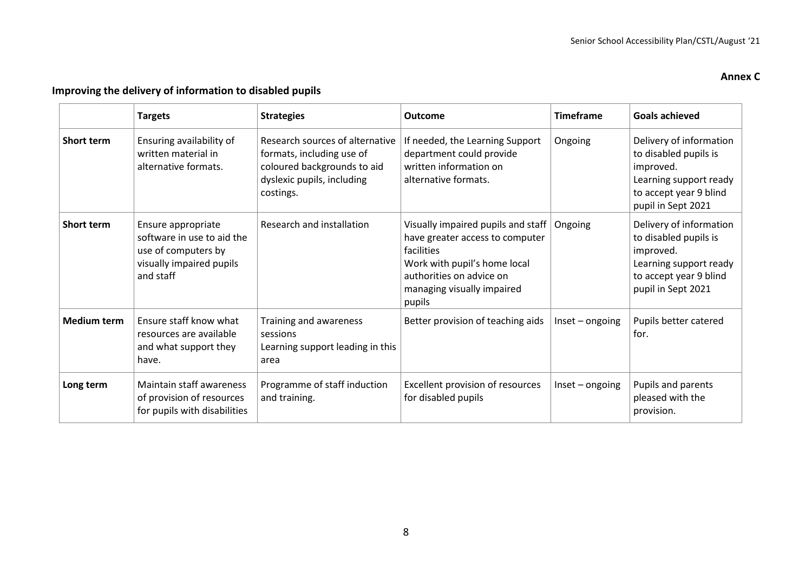# **Annex C**

# **Improving the delivery of information to disabled pupils**

|                    | <b>Targets</b>                                                                                                   | <b>Strategies</b>                                                                                                                      | Outcome                                                                                                                                                                                 | <b>Timeframe</b>   | <b>Goals achieved</b>                                                                                                                   |
|--------------------|------------------------------------------------------------------------------------------------------------------|----------------------------------------------------------------------------------------------------------------------------------------|-----------------------------------------------------------------------------------------------------------------------------------------------------------------------------------------|--------------------|-----------------------------------------------------------------------------------------------------------------------------------------|
| <b>Short term</b>  | Ensuring availability of<br>written material in<br>alternative formats.                                          | Research sources of alternative<br>formats, including use of<br>coloured backgrounds to aid<br>dyslexic pupils, including<br>costings. | If needed, the Learning Support<br>department could provide<br>written information on<br>alternative formats.                                                                           | Ongoing            | Delivery of information<br>to disabled pupils is<br>improved.<br>Learning support ready<br>to accept year 9 blind<br>pupil in Sept 2021 |
| <b>Short term</b>  | Ensure appropriate<br>software in use to aid the<br>use of computers by<br>visually impaired pupils<br>and staff | Research and installation                                                                                                              | Visually impaired pupils and staff<br>have greater access to computer<br>facilities<br>Work with pupil's home local<br>authorities on advice on<br>managing visually impaired<br>pupils | Ongoing            | Delivery of information<br>to disabled pupils is<br>improved.<br>Learning support ready<br>to accept year 9 blind<br>pupil in Sept 2021 |
| <b>Medium term</b> | Ensure staff know what<br>resources are available<br>and what support they<br>have.                              | Training and awareness<br>sessions<br>Learning support leading in this<br>area                                                         | Better provision of teaching aids                                                                                                                                                       | $Insert - ongoing$ | Pupils better catered<br>for.                                                                                                           |
| Long term          | <b>Maintain staff awareness</b><br>of provision of resources<br>for pupils with disabilities                     | Programme of staff induction<br>and training.                                                                                          | Excellent provision of resources<br>for disabled pupils                                                                                                                                 | $Insert - ongoing$ | Pupils and parents<br>pleased with the<br>provision.                                                                                    |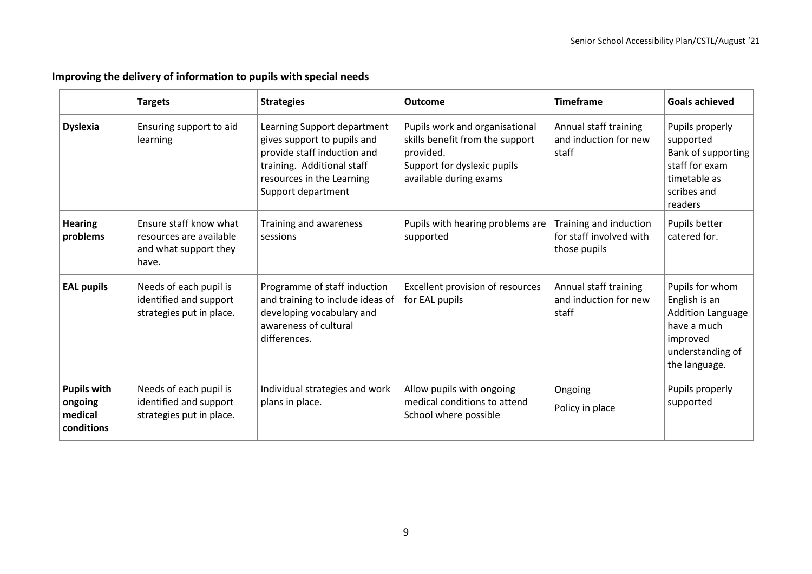# **Improving the delivery of information to pupils with special needs**

|                                                        | <b>Targets</b>                                                                      | <b>Strategies</b>                                                                                                                                                          | <b>Outcome</b>                                                                                                                          | <b>Timeframe</b>                                                  | <b>Goals achieved</b>                                                                                                        |
|--------------------------------------------------------|-------------------------------------------------------------------------------------|----------------------------------------------------------------------------------------------------------------------------------------------------------------------------|-----------------------------------------------------------------------------------------------------------------------------------------|-------------------------------------------------------------------|------------------------------------------------------------------------------------------------------------------------------|
| <b>Dyslexia</b>                                        | Ensuring support to aid<br>learning                                                 | Learning Support department<br>gives support to pupils and<br>provide staff induction and<br>training. Additional staff<br>resources in the Learning<br>Support department | Pupils work and organisational<br>skills benefit from the support<br>provided.<br>Support for dyslexic pupils<br>available during exams | Annual staff training<br>and induction for new<br>staff           | Pupils properly<br>supported<br>Bank of supporting<br>staff for exam<br>timetable as<br>scribes and<br>readers               |
| <b>Hearing</b><br>problems                             | Ensure staff know what<br>resources are available<br>and what support they<br>have. | Training and awareness<br>sessions                                                                                                                                         | Pupils with hearing problems are<br>supported                                                                                           | Training and induction<br>for staff involved with<br>those pupils | Pupils better<br>catered for.                                                                                                |
| <b>EAL pupils</b>                                      | Needs of each pupil is<br>identified and support<br>strategies put in place.        | Programme of staff induction<br>and training to include ideas of<br>developing vocabulary and<br>awareness of cultural<br>differences.                                     | Excellent provision of resources<br>for EAL pupils                                                                                      | Annual staff training<br>and induction for new<br>staff           | Pupils for whom<br>English is an<br><b>Addition Language</b><br>have a much<br>improved<br>understanding of<br>the language. |
| <b>Pupils with</b><br>ongoing<br>medical<br>conditions | Needs of each pupil is<br>identified and support<br>strategies put in place.        | Individual strategies and work<br>plans in place.                                                                                                                          | Allow pupils with ongoing<br>medical conditions to attend<br>School where possible                                                      | Ongoing<br>Policy in place                                        | Pupils properly<br>supported                                                                                                 |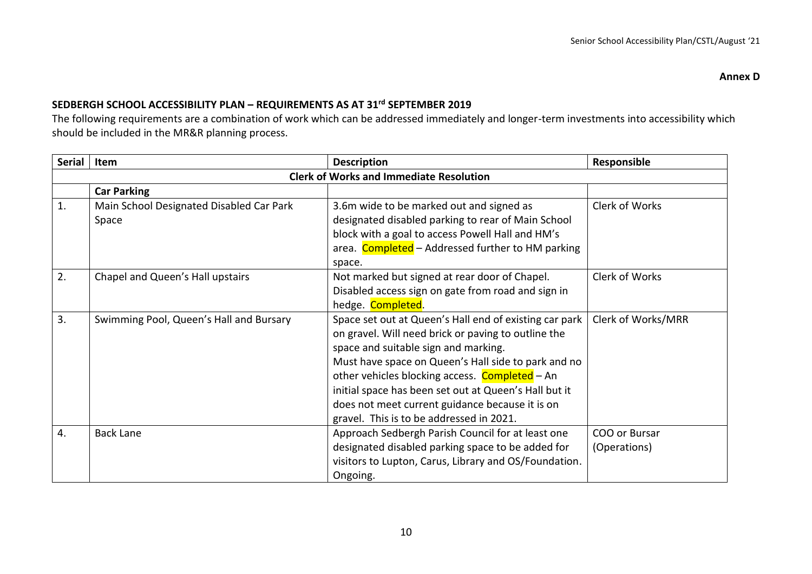## **SEDBERGH SCHOOL ACCESSIBILITY PLAN – REQUIREMENTS AS AT 31rd SEPTEMBER 2019**

The following requirements are a combination of work which can be addressed immediately and longer-term investments into accessibility which should be included in the MR&R planning process.

| Serial | Item                                              | <b>Description</b>                                                                                                                                                                                                                                                                                                                                                                                                     | Responsible                   |
|--------|---------------------------------------------------|------------------------------------------------------------------------------------------------------------------------------------------------------------------------------------------------------------------------------------------------------------------------------------------------------------------------------------------------------------------------------------------------------------------------|-------------------------------|
|        |                                                   | <b>Clerk of Works and Immediate Resolution</b>                                                                                                                                                                                                                                                                                                                                                                         |                               |
|        | <b>Car Parking</b>                                |                                                                                                                                                                                                                                                                                                                                                                                                                        |                               |
| 1.     | Main School Designated Disabled Car Park<br>Space | 3.6m wide to be marked out and signed as<br>designated disabled parking to rear of Main School<br>block with a goal to access Powell Hall and HM's                                                                                                                                                                                                                                                                     | Clerk of Works                |
|        |                                                   | area. Completed - Addressed further to HM parking<br>space.                                                                                                                                                                                                                                                                                                                                                            |                               |
| 2.     | Chapel and Queen's Hall upstairs                  | Not marked but signed at rear door of Chapel.<br>Disabled access sign on gate from road and sign in<br>hedge. Completed.                                                                                                                                                                                                                                                                                               | Clerk of Works                |
| 3.     | Swimming Pool, Queen's Hall and Bursary           | Space set out at Queen's Hall end of existing car park<br>on gravel. Will need brick or paving to outline the<br>space and suitable sign and marking.<br>Must have space on Queen's Hall side to park and no<br>other vehicles blocking access. Completed - An<br>initial space has been set out at Queen's Hall but it<br>does not meet current guidance because it is on<br>gravel. This is to be addressed in 2021. | Clerk of Works/MRR            |
| 4.     | <b>Back Lane</b>                                  | Approach Sedbergh Parish Council for at least one<br>designated disabled parking space to be added for<br>visitors to Lupton, Carus, Library and OS/Foundation.<br>Ongoing.                                                                                                                                                                                                                                            | COO or Bursar<br>(Operations) |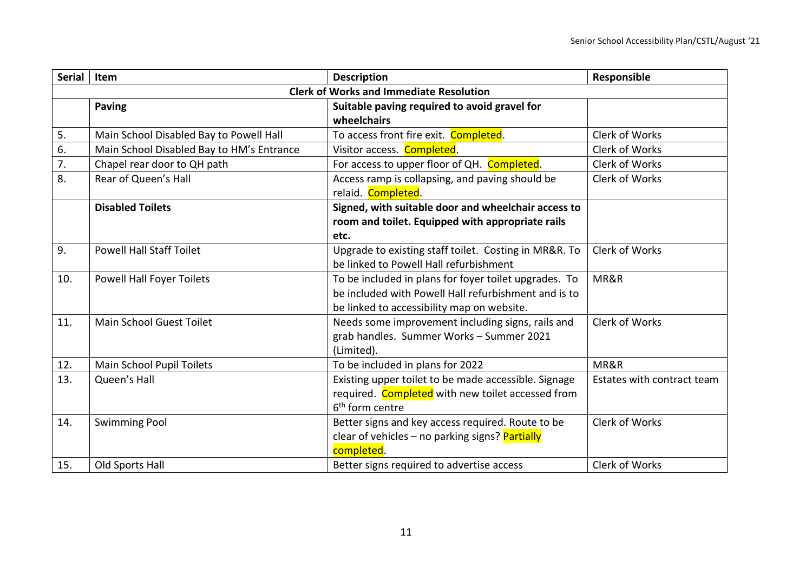| <b>Serial</b> | Item                                      | <b>Description</b>                                    | Responsible                |
|---------------|-------------------------------------------|-------------------------------------------------------|----------------------------|
|               |                                           | <b>Clerk of Works and Immediate Resolution</b>        |                            |
|               | <b>Paving</b>                             | Suitable paving required to avoid gravel for          |                            |
|               |                                           | wheelchairs                                           |                            |
| 5.            | Main School Disabled Bay to Powell Hall   | To access front fire exit. Completed.                 | Clerk of Works             |
| 6.            | Main School Disabled Bay to HM's Entrance | Visitor access. Completed.                            | Clerk of Works             |
| 7.            | Chapel rear door to QH path               | For access to upper floor of QH. Completed.           | Clerk of Works             |
| 8.            | Rear of Queen's Hall                      | Access ramp is collapsing, and paving should be       | Clerk of Works             |
|               |                                           | relaid. Completed.                                    |                            |
|               | <b>Disabled Toilets</b>                   | Signed, with suitable door and wheelchair access to   |                            |
|               |                                           | room and toilet. Equipped with appropriate rails      |                            |
|               |                                           | etc.                                                  |                            |
| 9.            | <b>Powell Hall Staff Toilet</b>           | Upgrade to existing staff toilet. Costing in MR&R. To | Clerk of Works             |
|               |                                           | be linked to Powell Hall refurbishment                |                            |
| 10.           | <b>Powell Hall Foyer Toilets</b>          | To be included in plans for foyer toilet upgrades. To | MR&R                       |
|               |                                           | be included with Powell Hall refurbishment and is to  |                            |
|               |                                           | be linked to accessibility map on website.            |                            |
| 11.           | Main School Guest Toilet                  | Needs some improvement including signs, rails and     | Clerk of Works             |
|               |                                           | grab handles. Summer Works - Summer 2021              |                            |
|               |                                           | (Limited).                                            |                            |
| 12.           | Main School Pupil Toilets                 | To be included in plans for 2022                      | MR&R                       |
| 13.           | Queen's Hall                              | Existing upper toilet to be made accessible. Signage  | Estates with contract team |
|               |                                           | required. Completed with new toilet accessed from     |                            |
|               |                                           | 6 <sup>th</sup> form centre                           |                            |
| 14.           | <b>Swimming Pool</b>                      | Better signs and key access required. Route to be     | Clerk of Works             |
|               |                                           | clear of vehicles - no parking signs? Partially       |                            |
|               |                                           | completed.                                            |                            |
| 15.           | Old Sports Hall                           | Better signs required to advertise access             | Clerk of Works             |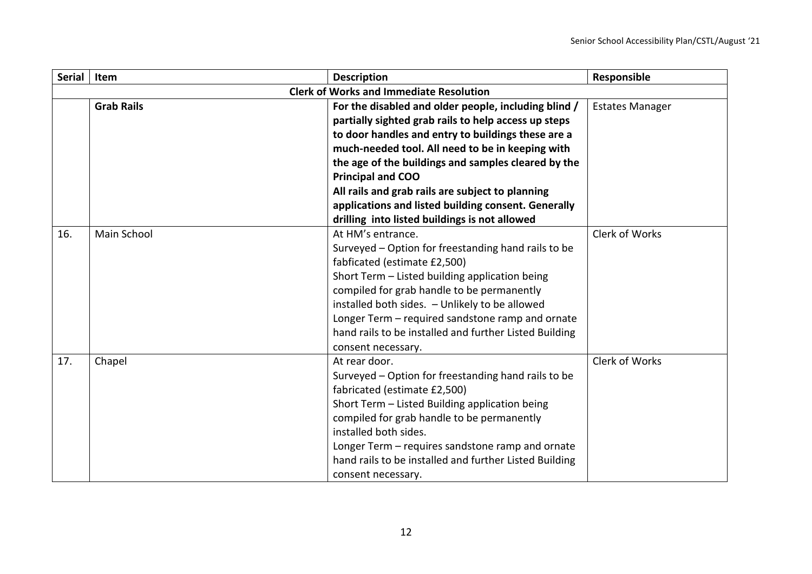| <b>Serial</b> | Item              | <b>Description</b>                                     | Responsible            |
|---------------|-------------------|--------------------------------------------------------|------------------------|
|               |                   | <b>Clerk of Works and Immediate Resolution</b>         |                        |
|               | <b>Grab Rails</b> | For the disabled and older people, including blind /   | <b>Estates Manager</b> |
|               |                   | partially sighted grab rails to help access up steps   |                        |
|               |                   | to door handles and entry to buildings these are a     |                        |
|               |                   | much-needed tool. All need to be in keeping with       |                        |
|               |                   | the age of the buildings and samples cleared by the    |                        |
|               |                   | <b>Principal and COO</b>                               |                        |
|               |                   | All rails and grab rails are subject to planning       |                        |
|               |                   | applications and listed building consent. Generally    |                        |
|               |                   | drilling into listed buildings is not allowed          |                        |
| 16.           | Main School       | At HM's entrance.                                      | Clerk of Works         |
|               |                   | Surveyed - Option for freestanding hand rails to be    |                        |
|               |                   | fabficated (estimate £2,500)                           |                        |
|               |                   | Short Term - Listed building application being         |                        |
|               |                   | compiled for grab handle to be permanently             |                        |
|               |                   | installed both sides. - Unlikely to be allowed         |                        |
|               |                   | Longer Term – required sandstone ramp and ornate       |                        |
|               |                   | hand rails to be installed and further Listed Building |                        |
|               |                   | consent necessary.                                     |                        |
| 17.           | Chapel            | At rear door.                                          | Clerk of Works         |
|               |                   | Surveyed - Option for freestanding hand rails to be    |                        |
|               |                   | fabricated (estimate £2,500)                           |                        |
|               |                   | Short Term - Listed Building application being         |                        |
|               |                   | compiled for grab handle to be permanently             |                        |
|               |                   | installed both sides.                                  |                        |
|               |                   | Longer Term - requires sandstone ramp and ornate       |                        |
|               |                   | hand rails to be installed and further Listed Building |                        |
|               |                   | consent necessary.                                     |                        |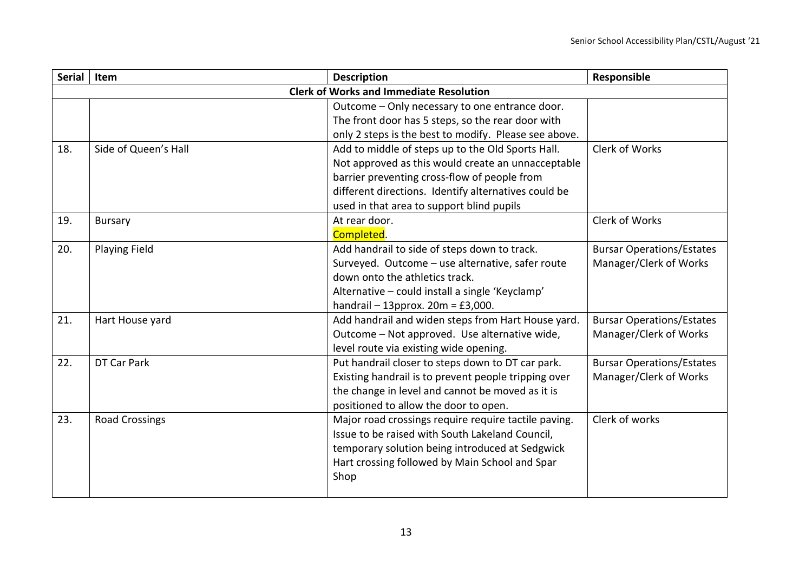| <b>Serial</b> | Item                  | <b>Description</b>                                    | Responsible                      |
|---------------|-----------------------|-------------------------------------------------------|----------------------------------|
|               |                       | <b>Clerk of Works and Immediate Resolution</b>        |                                  |
|               |                       | Outcome - Only necessary to one entrance door.        |                                  |
|               |                       | The front door has 5 steps, so the rear door with     |                                  |
|               |                       | only 2 steps is the best to modify. Please see above. |                                  |
| 18.           | Side of Queen's Hall  | Add to middle of steps up to the Old Sports Hall.     | Clerk of Works                   |
|               |                       | Not approved as this would create an unnacceptable    |                                  |
|               |                       | barrier preventing cross-flow of people from          |                                  |
|               |                       | different directions. Identify alternatives could be  |                                  |
|               |                       | used in that area to support blind pupils             |                                  |
| 19.           | <b>Bursary</b>        | At rear door.                                         | Clerk of Works                   |
|               |                       | Completed.                                            |                                  |
| 20.           | <b>Playing Field</b>  | Add handrail to side of steps down to track.          | <b>Bursar Operations/Estates</b> |
|               |                       | Surveyed. Outcome - use alternative, safer route      | Manager/Clerk of Works           |
|               |                       | down onto the athletics track.                        |                                  |
|               |                       | Alternative - could install a single 'Keyclamp'       |                                  |
|               |                       | handrail $-$ 13pprox. 20m = £3,000.                   |                                  |
| 21.           | Hart House yard       | Add handrail and widen steps from Hart House yard.    | <b>Bursar Operations/Estates</b> |
|               |                       | Outcome - Not approved. Use alternative wide,         | Manager/Clerk of Works           |
|               |                       | level route via existing wide opening.                |                                  |
| 22.           | DT Car Park           | Put handrail closer to steps down to DT car park.     | <b>Bursar Operations/Estates</b> |
|               |                       | Existing handrail is to prevent people tripping over  | Manager/Clerk of Works           |
|               |                       | the change in level and cannot be moved as it is      |                                  |
|               |                       | positioned to allow the door to open.                 |                                  |
| 23.           | <b>Road Crossings</b> | Major road crossings require require tactile paving.  | Clerk of works                   |
|               |                       | Issue to be raised with South Lakeland Council,       |                                  |
|               |                       | temporary solution being introduced at Sedgwick       |                                  |
|               |                       | Hart crossing followed by Main School and Spar        |                                  |
|               |                       | Shop                                                  |                                  |
|               |                       |                                                       |                                  |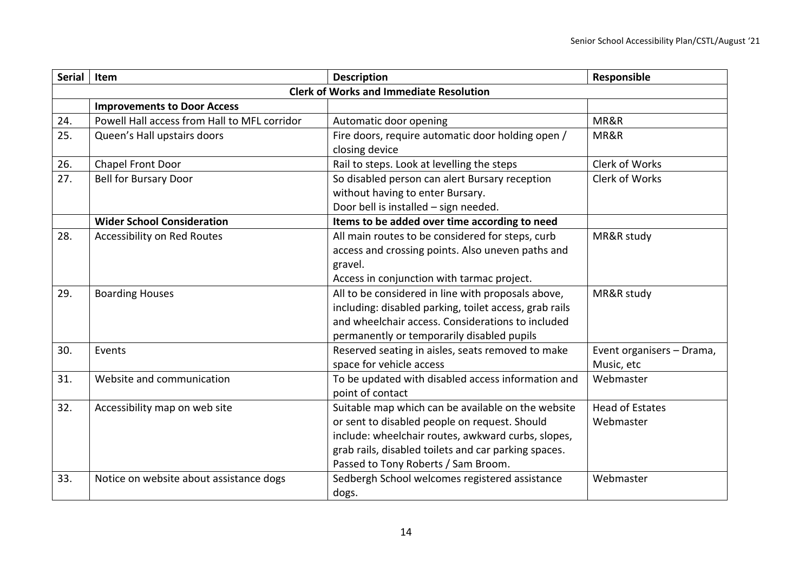| <b>Serial</b> | Item                                         | <b>Description</b>                                     | Responsible               |
|---------------|----------------------------------------------|--------------------------------------------------------|---------------------------|
|               |                                              | <b>Clerk of Works and Immediate Resolution</b>         |                           |
|               | <b>Improvements to Door Access</b>           |                                                        |                           |
| 24.           | Powell Hall access from Hall to MFL corridor | Automatic door opening                                 | MR&R                      |
| 25.           | Queen's Hall upstairs doors                  | Fire doors, require automatic door holding open /      | MR&R                      |
|               |                                              | closing device                                         |                           |
| 26.           | Chapel Front Door                            | Rail to steps. Look at levelling the steps             | Clerk of Works            |
| 27.           | <b>Bell for Bursary Door</b>                 | So disabled person can alert Bursary reception         | Clerk of Works            |
|               |                                              | without having to enter Bursary.                       |                           |
|               |                                              | Door bell is installed - sign needed.                  |                           |
|               | <b>Wider School Consideration</b>            | Items to be added over time according to need          |                           |
| 28.           | Accessibility on Red Routes                  | All main routes to be considered for steps, curb       | MR&R study                |
|               |                                              | access and crossing points. Also uneven paths and      |                           |
|               |                                              | gravel.                                                |                           |
|               |                                              | Access in conjunction with tarmac project.             |                           |
| 29.           | <b>Boarding Houses</b>                       | All to be considered in line with proposals above,     | MR&R study                |
|               |                                              | including: disabled parking, toilet access, grab rails |                           |
|               |                                              | and wheelchair access. Considerations to included      |                           |
|               |                                              | permanently or temporarily disabled pupils             |                           |
| 30.           | Events                                       | Reserved seating in aisles, seats removed to make      | Event organisers - Drama, |
|               |                                              | space for vehicle access                               | Music, etc                |
| 31.           | Website and communication                    | To be updated with disabled access information and     | Webmaster                 |
|               |                                              | point of contact                                       |                           |
| 32.           | Accessibility map on web site                | Suitable map which can be available on the website     | <b>Head of Estates</b>    |
|               |                                              | or sent to disabled people on request. Should          | Webmaster                 |
|               |                                              | include: wheelchair routes, awkward curbs, slopes,     |                           |
|               |                                              | grab rails, disabled toilets and car parking spaces.   |                           |
|               |                                              | Passed to Tony Roberts / Sam Broom.                    |                           |
| 33.           | Notice on website about assistance dogs      | Sedbergh School welcomes registered assistance         | Webmaster                 |
|               |                                              | dogs.                                                  |                           |